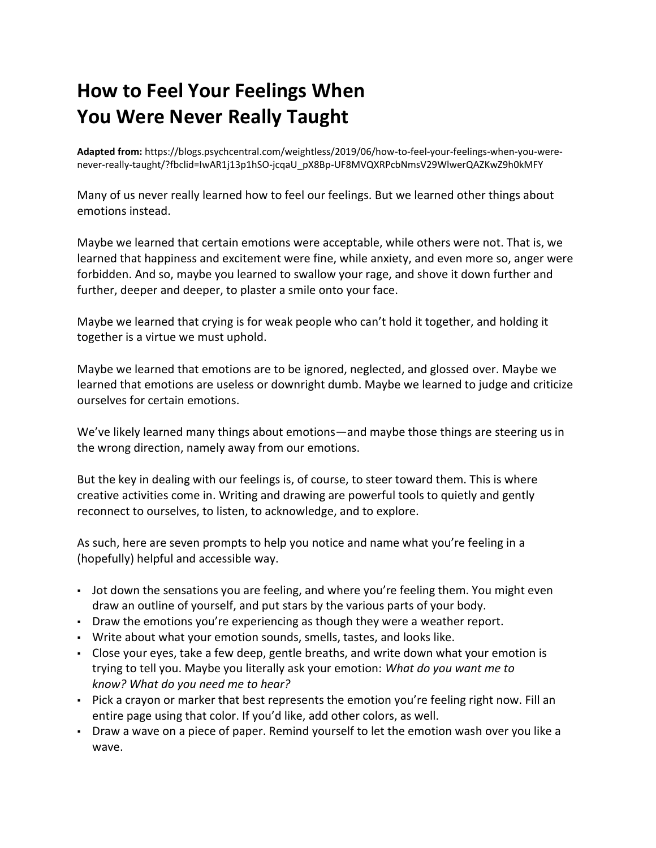## **How to Feel Your Feelings When You Were Never Really Taught**

**Adapted from:** [https://blogs.psychcentral.com/weightless/2019/06/how-to-feel-your-feelings-when-you-were](https://blogs.psychcentral.com/weightless/2019/06/how-to-feel-your-feelings-when-you-were-never-really-taught/?fbclid=IwAR1j13p1hSO-jcqaU_pX8Bp-UF8MVQXRPcbNmsV29WlwerQAZKwZ9h0kMFY)[never-really-taught/?fbclid=IwAR1j13p1hSO-jcqaU\\_pX8Bp-UF8MVQXRPcbNmsV29WlwerQAZKwZ9h0kMFY](https://blogs.psychcentral.com/weightless/2019/06/how-to-feel-your-feelings-when-you-were-never-really-taught/?fbclid=IwAR1j13p1hSO-jcqaU_pX8Bp-UF8MVQXRPcbNmsV29WlwerQAZKwZ9h0kMFY)

Many of us never really learned how to feel our feelings. But we learned other things about emotions instead.

Maybe we learned that certain emotions were acceptable, while others were not. That is, we learned that happiness and excitement were fine, while anxiety, and even more so, anger were forbidden. And so, maybe you learned to swallow your rage, and shove it down further and further, deeper and deeper, to plaster a smile onto your face.

Maybe we learned that crying is for weak people who can't hold it together, and holding it together is a virtue we must uphold.

Maybe we learned that emotions are to be ignored, neglected, and glossed over. Maybe we learned that emotions are useless or downright dumb. Maybe we learned to judge and criticize ourselves for certain emotions.

We've likely learned many things about emotions—and maybe those things are steering us in the wrong direction, namely away from our emotions.

But the key in dealing with our feelings is, of course, to steer toward them. This is where creative activities come in. Writing and drawing are powerful tools to quietly and gently reconnect to ourselves, to listen, to acknowledge, and to explore.

As such, here are seven prompts to help you notice and name what you're feeling in a (hopefully) helpful and accessible way.

- . Jot down the sensations you are feeling, and where you're feeling them. You might even draw an outline of yourself, and put stars by the various parts of your body.
- Draw the emotions you're experiencing as though they were a [weather report.](https://blogs.psychcentral.com/weightless/2019/06/how-to-approach-your-emotions-when-they-make-you-uncomfortable/)
- Write about what your emotion sounds, smells, tastes, and looks like.
- Close your eyes, take a few deep, gentle breaths, and write down what your emotion is trying to tell you. Maybe you literally ask your emotion: *What do you want me to know? What do you need me to hear?*
- Pick a crayon or marker that best represents the emotion you're feeling right now. Fill an entire page using that color. If you'd like, add other colors, as well.
- Draw a wave on a piece of paper. Remind yourself to let the emotion wash over you like a wave.